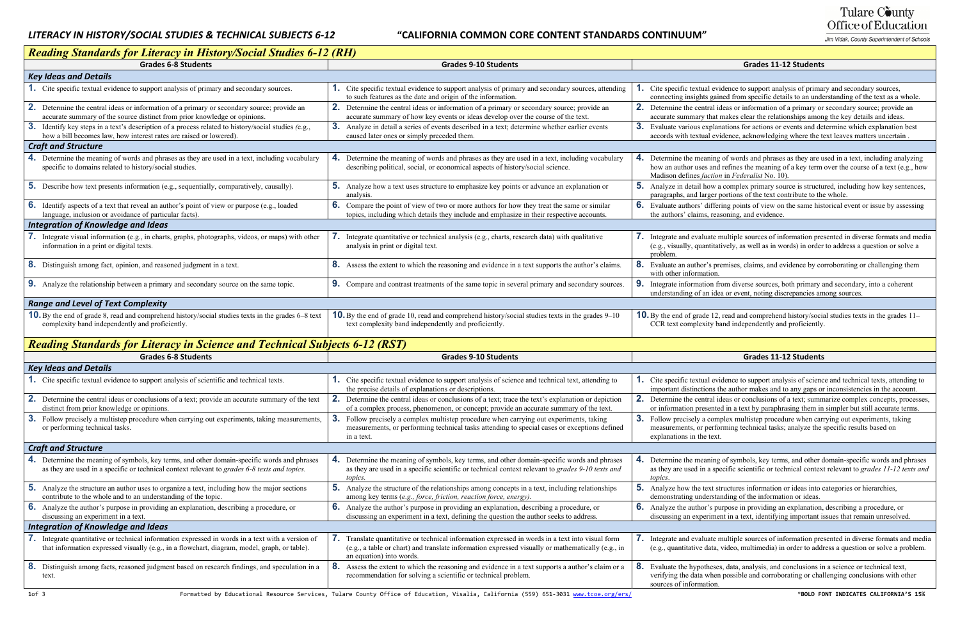## *LITERACY IN*

## *HISTORY/SOCIAL STUDIES & TECHNICAL SUBJECTS 6‐12* **"CALIFORNIA COMMON CORE CONTENT STANDARDS CONTINUUM"**

# Tulare County Office of Education

Jim Vidak, County Superintendent of Schools

#### **Students Grades 9‐10 Students Grades 11‐12 Students**

al evidence to support analysis of primary and secondary sources, equired from specific details to an understanding of the text as a whole.

ral ideas or information of a primary or secondary source; provide an that makes clear the relationships among the key details and ideas.

planations for actions or events and determine which explanation best I evidence, acknowledging where the text leaves matters uncertain

hing of words and phrases as they are used in a text, including analyzing and refines the meaning of a key term over the course of a text (e.g., how ction in Federalist No. 10).

ow a complex primary source is structured, including how key sentences, rger portions of the text contribute to the whole.

differing points of view on the same historical event or issue by assessing reasoning, and evidence.

rate multiple sources of information presented in diverse formats and media ntitatively, as well as in words) in order to address a question or solve a

's premises, claims, and evidence by corroborating or challenging them tion.

on from diverse sources, both primary and secondary, into a coherent idea or event, noting discrepancies among sources.

12, read and comprehend history/social studies texts in the grades 11– ity band independently and proficiently.

| Reading Standards for Literacy in History/Social Studies 6-12 (RH)                                                                                                                                |                                                                                                                                                                                                                                          |                                                                                   |
|---------------------------------------------------------------------------------------------------------------------------------------------------------------------------------------------------|------------------------------------------------------------------------------------------------------------------------------------------------------------------------------------------------------------------------------------------|-----------------------------------------------------------------------------------|
| <b>Grades 6-8 Students</b>                                                                                                                                                                        | <b>Grades 9-10 Students</b>                                                                                                                                                                                                              |                                                                                   |
| <b>Key Ideas and Details</b>                                                                                                                                                                      |                                                                                                                                                                                                                                          |                                                                                   |
| 1. Cite specific textual evidence to support analysis of primary and secondary sources.                                                                                                           | <b>1.</b> Cite specific textual evidence to support analysis of primary and secondary sources, attending<br>to such features as the date and origin of the information.                                                                  | Cite specific textua<br>connecting insights                                       |
| <b>2.</b> Determine the central ideas or information of a primary or secondary source; provide an<br>accurate summary of the source distinct from prior knowledge or opinions.                    | 2. Determine the central ideas or information of a primary or secondary source; provide an<br>accurate summary of how key events or ideas develop over the course of the text.                                                           | 2.<br>Determine the cent<br>accurate summary t                                    |
| <b>3.</b> Identify key steps in a text's description of a process related to history/social studies (e.g.,<br>how a bill becomes law, how interest rates are raised or lowered).                  | 3. Analyze in detail a series of events described in a text; determine whether earlier events<br>caused later ones or simply preceded them.                                                                                              | 3 <sub>1</sub><br>Evaluate various ex<br>accords with textua                      |
| <b>Craft and Structure</b>                                                                                                                                                                        |                                                                                                                                                                                                                                          |                                                                                   |
| 4. Determine the meaning of words and phrases as they are used in a text, including vocabulary<br>specific to domains related to history/social studies.                                          | 4. Determine the meaning of words and phrases as they are used in a text, including vocabulary<br>describing political, social, or economical aspects of history/social science.                                                         | 4. Determine the mean<br>how an author uses<br>Madison defines fa                 |
| 5. Describe how text presents information (e.g., sequentially, comparatively, causally).                                                                                                          | 5. Analyze how a text uses structure to emphasize key points or advance an explanation or<br>analysis.                                                                                                                                   | 5.<br>Analyze in detail ho<br>paragraphs, and larg                                |
| 6. Identify aspects of a text that reveal an author's point of view or purpose (e.g., loaded<br>language, inclusion or avoidance of particular facts).                                            | 6. Compare the point of view of two or more authors for how they treat the same or similar<br>topics, including which details they include and emphasize in their respective accounts.                                                   | <b>6.</b> Evaluate authors' d<br>the authors' claims.                             |
| <b>Integration of Knowledge and Ideas</b>                                                                                                                                                         |                                                                                                                                                                                                                                          |                                                                                   |
| 7. Integrate visual information (e.g., in charts, graphs, photographs, videos, or maps) with other<br>information in a print or digital texts.                                                    | 7. Integrate quantitative or technical analysis (e.g., charts, research data) with qualitative<br>analysis in print or digital text.                                                                                                     | Integrate and evalua<br>(e.g., visually, quan<br>problem.                         |
| 8. Distinguish among fact, opinion, and reasoned judgment in a text.                                                                                                                              | 8. Assess the extent to which the reasoning and evidence in a text supports the author's claims.                                                                                                                                         | 8 <sub>1</sub><br>Evaluate an author'<br>with other informat                      |
| 9. Analyze the relationship between a primary and secondary source on the same topic.                                                                                                             | <b>9.</b> Compare and contrast treatments of the same topic in several primary and secondary sources.                                                                                                                                    | 9.<br>Integrate information<br>understanding of ar                                |
| <b>Range and Level of Text Complexity</b>                                                                                                                                                         |                                                                                                                                                                                                                                          |                                                                                   |
| <b>10.</b> By the end of grade 8, read and comprehend history/social studies texts in the grades 6–8 text<br>complexity band independently and proficiently.                                      | <b>10.</b> By the end of grade 10, read and comprehend history/social studies texts in the grades 9–10<br>text complexity band independently and proficiently.                                                                           | <b>10.</b> By the end of grade<br>CCR text complexi                               |
| <b>Reading Standards for Literacy in Science and Technical Subjects 6-12 (RST)</b>                                                                                                                |                                                                                                                                                                                                                                          |                                                                                   |
| <b>Grades 6-8 Students</b>                                                                                                                                                                        | <b>Grades 9-10 Students</b>                                                                                                                                                                                                              |                                                                                   |
| <b>Key Ideas and Details</b>                                                                                                                                                                      |                                                                                                                                                                                                                                          |                                                                                   |
| 1. Cite specific textual evidence to support analysis of scientific and technical texts.                                                                                                          | <b>1.</b> Cite specific textual evidence to support analysis of science and technical text, attending to<br>the precise details of explanations or descriptions.                                                                         | Cite specific textua<br>important distinctio                                      |
| 2.<br>Determine the central ideas or conclusions of a text; provide an accurate summary of the text<br>distinct from prior knowledge or opinions.                                                 | 2.<br>Determine the central ideas or conclusions of a text; trace the text's explanation or depiction<br>of a complex process, phenomenon, or concept; provide an accurate summary of the text.                                          | 2.<br>Determine the cent<br>or information pres                                   |
| 3. Follow precisely a multistep procedure when carrying out experiments, taking measurements,<br>or performing technical tasks.                                                                   | 3. Follow precisely a complex multistep procedure when carrying out experiments, taking<br>measurements, or performing technical tasks attending to special cases or exceptions defined<br>in a text.                                    | 3 <sub>1</sub><br>Follow precisely a<br>measurements, or p<br>explanations in the |
| <b>Craft and Structure</b>                                                                                                                                                                        |                                                                                                                                                                                                                                          |                                                                                   |
| 4. Determine the meaning of symbols, key terms, and other domain-specific words and phrases<br>as they are used in a specific or technical context relevant to grades 6-8 texts and topics.       | 4. Determine the meaning of symbols, key terms, and other domain-specific words and phrases<br>as they are used in a specific scientific or technical context relevant to grades 9-10 texts and<br>topics.                               | 4. Determine the mean<br>as they are used in<br>topics.                           |
| <b>5.</b> Analyze the structure an author uses to organize a text, including how the major sections<br>contribute to the whole and to an understanding of the topic.                              | 5.<br>Analyze the structure of the relationships among concepts in a text, including relationships<br>among key terms (e.g., force, friction, reaction force, energy).                                                                   | 5.<br>Analyze how the te<br>demonstrating unde                                    |
| <b>6.</b> Analyze the author's purpose in providing an explanation, describing a procedure, or<br>discussing an experiment in a text.                                                             | 6.<br>Analyze the author's purpose in providing an explanation, describing a procedure, or<br>discussing an experiment in a text, defining the question the author seeks to address.                                                     | 6.<br>Analyze the author<br>discussing an exper                                   |
| <b>Integration of Knowledge and Ideas</b>                                                                                                                                                         |                                                                                                                                                                                                                                          |                                                                                   |
| 7. Integrate quantitative or technical information expressed in words in a text with a version of<br>that information expressed visually (e.g., in a flowchart, diagram, model, graph, or table). | <b>7.</b> Translate quantitative or technical information expressed in words in a text into visual form<br>(e.g., a table or chart) and translate information expressed visually or mathematically (e.g., in<br>an equation) into words. | 7.<br>Integrate and evalua<br>(e.g., quantitative d                               |
| 8.<br>Distinguish among facts, reasoned judgment based on research findings, and speculation in a<br>text.                                                                                        | 8.<br>Assess the extent to which the reasoning and evidence in a text supports a author's claim or a<br>recommendation for solving a scientific or technical problem.                                                                    | 8.<br>Evaluate the hypoth<br>verifying the data w<br>sources of informat          |
|                                                                                                                                                                                                   |                                                                                                                                                                                                                                          |                                                                                   |

#### **Students Grades 9‐10 Students Grades 11‐12 Students**

al evidence to support analysis of science and technical texts, attending to ons the author makes and to any gaps or inconsistencies in the account. ral ideas or conclusions of a text; summarize complex concepts, processes, sented in a text by paraphrasing them in simpler but still accurate terms. complex multistep procedure when carrying out experiments, taking performing technical tasks; analyze the specific results based on text.

 $n$  ing of symbols, key terms, and other domain-specific words and phrases a specific scientific or technical context relevant to *grades 11-12 texts and* 

Ext structures information or ideas into categories or hierarchies, erstanding of the information or ideas.

's purpose in providing an explanation, describing a procedure, or riment in a text, identifying important issues that remain unresolved.

rate multiple sources of information presented in diverse formats and media data, video, multimedia) in order to address a question or solve a problem.

heses, data, analysis, and conclusions in a science or technical text, vhen possible and corroborating or challenging conclusions with other tion.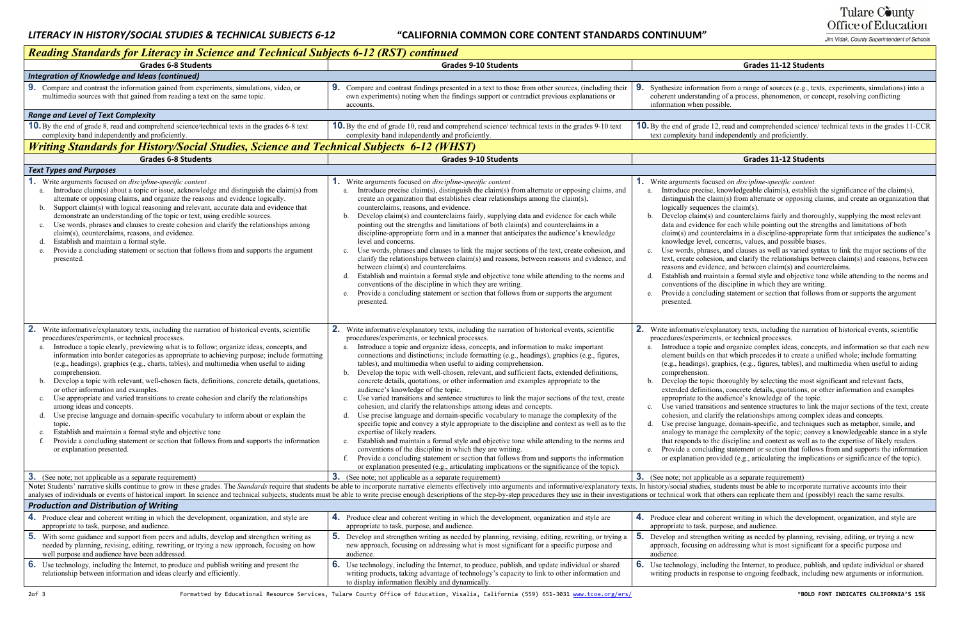### *HISTORY/SOCIAL STUDIES & TECHNICAL SUBJECTS 6‐12* **"CALIFORNIA COMMON CORE CONTENT STANDARDS CONTINUUM"**

# Tulare County Office of Education

Jim Vidak, County Superintendent of Schools

#### **Students Grades 9‐10 Students Grades 11‐12 Students**

ion from a range of sources (e.g., texts, experiments, simulations) into a ling of a process, phenomenon, or concept, resolving conflicting ossible.

12, read and comprehended science/ technical texts in the grades 11-CCR d independently and proficiently.

#### **Students Grades 9‐10 Students Grades 11‐12 Students**

**2. 2. 2. 2. 2.** *2.**discipline-specific content.* 

 $\text{Re}, \text{knowledgeable claim(s)}, \text{establish the significance of the claim(s)},$ claim(s) from alternate or opposing claims, and create an organization that  $lces the claim(s).$ 

s) and counterclaims fairly and thoroughly, supplying the most relevant ce for each while pointing out the strengths and limitations of both  $u$ nterclaims in a discipline-appropriate form that anticipates the audience's l, concerns, values, and possible biases.

uses, and clauses as well as varied syntax to link the major sections of the  $t_{\text{e}}$  and clarify the relationships between claim(s) and reasons, between  $r =$  and between claim(s) and counterclaims.

aintain a formal style and objective tone while attending to the norms and he discipline in which they are writing.

ading statement or section that follows from or supports the argument

xplanatory texts, including the narration of historical events, scientific processes.

Interior and organize complex ideas, concepts, and information so that each new on that which precedes it to create a unified whole; include formatting graphics, (e.g., figures, tables), and multimedia when useful to aiding

ic thoroughly by selecting the most significant and relevant facts, ions, concrete details, quotations, or other information and examples he audience's knowledge of the topic.

itions and sentence structures to link the major sections of the text, create larify the relationships among complex ideas and concepts.

uage, domain-specific, and techniques such as metaphor, simile, and age the complexity of the topic; convey a knowledgeable stance in a style the discipline and context as well as to the expertise of likely readers. ading statement or section that follows from and supports the information provided (e.g., articulating the implications or significance of the topic).

 $\alpha$  able as a separate requirement)

students must be able to incorporate narrative accounts into their at others can replicate them and (possibly) reach the same results.

beteent writing in which the development, organization, and style are purpose, and audience.

from writing as needed by planning, revising, editing, or trying a new on addressing what is most significant for a specific purpose and

luding the Internet, to produce, publish, and update individual or shared response to ongoing feedback, including new arguments or information.

| <b>Reading Standards for Literacy in Science and Technical Subjects 6-12 (RST) continued</b>                                                                                                                                                                                                                                                                                                                                                                                                                                                                                                                                                                                                                                                                                                                                                                                                                                                                                                                                                                                                   |                                                                                                                                                                                                                                                                                                                                                                                                                                                                                                                                                                                                                                                                                                                                                                                                                                                                                                                                                                                                                                                                                                                                                                                                                                                                                                                                                                                                                                                                                       |                                                                                                                                                                                                                                                                                                                                                                                                               |  |  |  |  |  |  |  |
|------------------------------------------------------------------------------------------------------------------------------------------------------------------------------------------------------------------------------------------------------------------------------------------------------------------------------------------------------------------------------------------------------------------------------------------------------------------------------------------------------------------------------------------------------------------------------------------------------------------------------------------------------------------------------------------------------------------------------------------------------------------------------------------------------------------------------------------------------------------------------------------------------------------------------------------------------------------------------------------------------------------------------------------------------------------------------------------------|---------------------------------------------------------------------------------------------------------------------------------------------------------------------------------------------------------------------------------------------------------------------------------------------------------------------------------------------------------------------------------------------------------------------------------------------------------------------------------------------------------------------------------------------------------------------------------------------------------------------------------------------------------------------------------------------------------------------------------------------------------------------------------------------------------------------------------------------------------------------------------------------------------------------------------------------------------------------------------------------------------------------------------------------------------------------------------------------------------------------------------------------------------------------------------------------------------------------------------------------------------------------------------------------------------------------------------------------------------------------------------------------------------------------------------------------------------------------------------------|---------------------------------------------------------------------------------------------------------------------------------------------------------------------------------------------------------------------------------------------------------------------------------------------------------------------------------------------------------------------------------------------------------------|--|--|--|--|--|--|--|
| <b>Grades 6-8 Students</b>                                                                                                                                                                                                                                                                                                                                                                                                                                                                                                                                                                                                                                                                                                                                                                                                                                                                                                                                                                                                                                                                     | <b>Grades 9-10 Students</b>                                                                                                                                                                                                                                                                                                                                                                                                                                                                                                                                                                                                                                                                                                                                                                                                                                                                                                                                                                                                                                                                                                                                                                                                                                                                                                                                                                                                                                                           |                                                                                                                                                                                                                                                                                                                                                                                                               |  |  |  |  |  |  |  |
| Integration of Knowledge and Ideas (continued)                                                                                                                                                                                                                                                                                                                                                                                                                                                                                                                                                                                                                                                                                                                                                                                                                                                                                                                                                                                                                                                 |                                                                                                                                                                                                                                                                                                                                                                                                                                                                                                                                                                                                                                                                                                                                                                                                                                                                                                                                                                                                                                                                                                                                                                                                                                                                                                                                                                                                                                                                                       |                                                                                                                                                                                                                                                                                                                                                                                                               |  |  |  |  |  |  |  |
| 9. Compare and contrast the information gained from experiments, simulations, video, or<br>multimedia sources with that gained from reading a text on the same topic.                                                                                                                                                                                                                                                                                                                                                                                                                                                                                                                                                                                                                                                                                                                                                                                                                                                                                                                          | 9. Compare and contrast findings presented in a text to those from other sources, (including their<br>own experiments) noting when the findings support or contradict previous explanations or<br>accounts.                                                                                                                                                                                                                                                                                                                                                                                                                                                                                                                                                                                                                                                                                                                                                                                                                                                                                                                                                                                                                                                                                                                                                                                                                                                                           | 9.<br>Synthesize informat<br>coherent understand<br>information when po                                                                                                                                                                                                                                                                                                                                       |  |  |  |  |  |  |  |
| <b>Range and Level of Text Complexity</b>                                                                                                                                                                                                                                                                                                                                                                                                                                                                                                                                                                                                                                                                                                                                                                                                                                                                                                                                                                                                                                                      |                                                                                                                                                                                                                                                                                                                                                                                                                                                                                                                                                                                                                                                                                                                                                                                                                                                                                                                                                                                                                                                                                                                                                                                                                                                                                                                                                                                                                                                                                       |                                                                                                                                                                                                                                                                                                                                                                                                               |  |  |  |  |  |  |  |
| <b>10.</b> By the end of grade 8, read and comprehend science/technical texts in the grades 6-8 text<br>complexity band independently and proficiently.                                                                                                                                                                                                                                                                                                                                                                                                                                                                                                                                                                                                                                                                                                                                                                                                                                                                                                                                        | 10. By the end of grade 10, read and comprehend science/ technical texts in the grades 9-10 text<br>complexity band independently and proficiently.                                                                                                                                                                                                                                                                                                                                                                                                                                                                                                                                                                                                                                                                                                                                                                                                                                                                                                                                                                                                                                                                                                                                                                                                                                                                                                                                   | <b>10.</b> By the end of grade<br>text complexity band                                                                                                                                                                                                                                                                                                                                                        |  |  |  |  |  |  |  |
| <b>Writing Standards for History/Social Studies, Science and Technical Subjects 6-12 (WHST)</b>                                                                                                                                                                                                                                                                                                                                                                                                                                                                                                                                                                                                                                                                                                                                                                                                                                                                                                                                                                                                |                                                                                                                                                                                                                                                                                                                                                                                                                                                                                                                                                                                                                                                                                                                                                                                                                                                                                                                                                                                                                                                                                                                                                                                                                                                                                                                                                                                                                                                                                       |                                                                                                                                                                                                                                                                                                                                                                                                               |  |  |  |  |  |  |  |
| <b>Grades 6-8 Students</b>                                                                                                                                                                                                                                                                                                                                                                                                                                                                                                                                                                                                                                                                                                                                                                                                                                                                                                                                                                                                                                                                     | <b>Grades 9-10 Students</b>                                                                                                                                                                                                                                                                                                                                                                                                                                                                                                                                                                                                                                                                                                                                                                                                                                                                                                                                                                                                                                                                                                                                                                                                                                                                                                                                                                                                                                                           |                                                                                                                                                                                                                                                                                                                                                                                                               |  |  |  |  |  |  |  |
| <b>Text Types and Purposes</b>                                                                                                                                                                                                                                                                                                                                                                                                                                                                                                                                                                                                                                                                                                                                                                                                                                                                                                                                                                                                                                                                 |                                                                                                                                                                                                                                                                                                                                                                                                                                                                                                                                                                                                                                                                                                                                                                                                                                                                                                                                                                                                                                                                                                                                                                                                                                                                                                                                                                                                                                                                                       |                                                                                                                                                                                                                                                                                                                                                                                                               |  |  |  |  |  |  |  |
| Write arguments focused on <i>discipline-specific content</i> .<br>Introduce claim(s) about a topic or issue, acknowledge and distinguish the claim(s) from<br>a.<br>alternate or opposing claims, and organize the reasons and evidence logically.<br>Support claim(s) with logical reasoning and relevant, accurate data and evidence that<br>b.<br>demonstrate an understanding of the topic or text, using credible sources.<br>Use words, phrases and clauses to create cohesion and clarify the relationships among<br>c.<br>claim(s), counterclaims, reasons, and evidence.<br>Establish and maintain a formal style.<br>d.<br>Provide a concluding statement or section that follows from and supports the argument<br>e.<br>presented.                                                                                                                                                                                                                                                                                                                                                | <b>1.</b> Write arguments focused on <i>discipline-specific content</i> .<br>Introduce precise claim(s), distinguish the claim(s) from alternate or opposing claims, and<br>a.<br>create an organization that establishes clear relationships among the claim(s),<br>counterclaims, reasons, and evidence.<br>Develop claim(s) and counterclaims fairly, supplying data and evidence for each while<br>b.<br>pointing out the strengths and limitations of both claim(s) and counterclaims in a<br>discipline-appropriate form and in a manner that anticipates the audience's knowledge<br>level and concerns.<br>Use words, phrases and clauses to link the major sections of the text, create cohesion, and<br>c.<br>clarify the relationships between claim(s) and reasons, between reasons and evidence, and<br>between claim(s) and counterclaims.<br>Establish and maintain a formal style and objective tone while attending to the norms and<br>conventions of the discipline in which they are writing.<br>Provide a concluding statement or section that follows from or supports the argument<br>e.<br>presented.                                                                                                                                                                                                                                                                                                                                                         | <b>1.</b> Write arguments foo<br>Introduce precis<br>a.<br>distinguish the c<br>logically sequen<br>Develop claim(s<br>$\mathbf{b}$ .<br>data and evidend<br>$claim(s)$ and cou<br>knowledge level<br>Use words, phra<br>$c_{\cdot}$<br>text, create cohe<br>reasons and evid<br>Establish and ma<br>d.<br>conventions of t<br>Provide a conclu<br>e.<br>presented.                                           |  |  |  |  |  |  |  |
| 2.<br>Write informative/explanatory texts, including the narration of historical events, scientific<br>procedures/experiments, or technical processes.<br>Introduce a topic clearly, previewing what is to follow; organize ideas, concepts, and<br>a.<br>information into border categories as appropriate to achieving purpose; include formatting<br>(e.g., headings), graphics (e.g., charts, tables), and multimedia when useful to aiding<br>comprehension.<br>Develop a topic with relevant, well-chosen facts, definitions, concrete details, quotations,<br>b.<br>or other information and examples.<br>Use appropriate and varied transitions to create cohesion and clarify the relationships<br>among ideas and concepts.<br>Use precise language and domain-specific vocabulary to inform about or explain the<br>d.<br>topic.<br>Establish and maintain a formal style and objective tone<br>Provide a concluding statement or section that follows from and supports the information<br>or explanation presented.<br>3.<br>(See note; not applicable as a separate requirement) | 2. Write informative/explanatory texts, including the narration of historical events, scientific<br>procedures/experiments, or technical processes.<br>Introduce a topic and organize ideas, concepts, and information to make important<br>a.<br>connections and distinctions; include formatting (e.g., headings), graphics (e.g., figures,<br>tables), and multimedia when useful to aiding comprehension.<br>Develop the topic with well-chosen, relevant, and sufficient facts, extended definitions,<br>b.<br>concrete details, quotations, or other information and examples appropriate to the<br>audience's knowledge of the topic.<br>Use varied transitions and sentence structures to link the major sections of the text, create<br>cohesion, and clarify the relationships among ideas and concepts.<br>Use precise language and domain-specific vocabulary to manage the complexity of the<br>d.<br>specific topic and convey a style appropriate to the discipline and context as well as to the<br>expertise of likely readers.<br>Establish and maintain a formal style and objective tone while attending to the norms and<br>e.<br>conventions of the discipline in which they are writing.<br>Provide a concluding statement or section that follows from and supports the information<br>or explanation presented (e.g., articulating implications or the significance of the topic).<br>3 <sub>1</sub><br>(See note; not applicable as a separate requirement) | 2.<br>Write informative/e:<br>procedures/experime<br>Introduce a topic<br>a.<br>element builds o<br>(e.g., headings),<br>comprehension.<br>Develop the topi<br>$\mathbf{b}$ .<br>extended definit<br>appropriate to th<br>Use varied trans<br>cohesion, and cla<br>Use precise lang<br>d.<br>analogy to mana<br>that responds to<br>Provide a conclu<br>e.<br>or explanation p<br>3.<br>(See note; not applic |  |  |  |  |  |  |  |
|                                                                                                                                                                                                                                                                                                                                                                                                                                                                                                                                                                                                                                                                                                                                                                                                                                                                                                                                                                                                                                                                                                | Note: Students' narrative skills continue to grow in these grades. The Standards require that students be able to incorporate narrative elements effectively into arguments and informative/explanatory texts. In history/soci                                                                                                                                                                                                                                                                                                                                                                                                                                                                                                                                                                                                                                                                                                                                                                                                                                                                                                                                                                                                                                                                                                                                                                                                                                                        |                                                                                                                                                                                                                                                                                                                                                                                                               |  |  |  |  |  |  |  |
|                                                                                                                                                                                                                                                                                                                                                                                                                                                                                                                                                                                                                                                                                                                                                                                                                                                                                                                                                                                                                                                                                                | analyses of individuals or events of historical import. In science and technical subjects, students must be able to write precise enough descriptions of the step-by-step procedures they use in their investigations or techn                                                                                                                                                                                                                                                                                                                                                                                                                                                                                                                                                                                                                                                                                                                                                                                                                                                                                                                                                                                                                                                                                                                                                                                                                                                        |                                                                                                                                                                                                                                                                                                                                                                                                               |  |  |  |  |  |  |  |
| <b>Production and Distribution of Writing</b>                                                                                                                                                                                                                                                                                                                                                                                                                                                                                                                                                                                                                                                                                                                                                                                                                                                                                                                                                                                                                                                  |                                                                                                                                                                                                                                                                                                                                                                                                                                                                                                                                                                                                                                                                                                                                                                                                                                                                                                                                                                                                                                                                                                                                                                                                                                                                                                                                                                                                                                                                                       |                                                                                                                                                                                                                                                                                                                                                                                                               |  |  |  |  |  |  |  |
| 4. Produce clear and coherent writing in which the development, organization, and style are<br>appropriate to task, purpose, and audience.                                                                                                                                                                                                                                                                                                                                                                                                                                                                                                                                                                                                                                                                                                                                                                                                                                                                                                                                                     | 4. Produce clear and coherent writing in which the development, organization and style are<br>appropriate to task, purpose, and audience.                                                                                                                                                                                                                                                                                                                                                                                                                                                                                                                                                                                                                                                                                                                                                                                                                                                                                                                                                                                                                                                                                                                                                                                                                                                                                                                                             | 4. Produce clear and co<br>appropriate to task, p                                                                                                                                                                                                                                                                                                                                                             |  |  |  |  |  |  |  |
| 5.<br>With some guidance and support from peers and adults, develop and strengthen writing as<br>needed by planning, revising, editing, rewriting, or trying a new approach, focusing on how<br>well purpose and audience have been addressed.                                                                                                                                                                                                                                                                                                                                                                                                                                                                                                                                                                                                                                                                                                                                                                                                                                                 | 5.<br>Develop and strengthen writing as needed by planning, revising, editing, rewriting, or trying a<br>new approach, focusing on addressing what is most significant for a specific purpose and<br>audience.                                                                                                                                                                                                                                                                                                                                                                                                                                                                                                                                                                                                                                                                                                                                                                                                                                                                                                                                                                                                                                                                                                                                                                                                                                                                        | 5. Develop and strengt<br>approach, focusing<br>audience.                                                                                                                                                                                                                                                                                                                                                     |  |  |  |  |  |  |  |
| 6.<br>Use technology, including the Internet, to produce and publish writing and present the<br>relationship between information and ideas clearly and efficiently.                                                                                                                                                                                                                                                                                                                                                                                                                                                                                                                                                                                                                                                                                                                                                                                                                                                                                                                            | 6. Use technology, including the Internet, to produce, publish, and update individual or shared<br>writing products, taking advantage of technology's capacity to link to other information and<br>to display information flexibly and dynamically.                                                                                                                                                                                                                                                                                                                                                                                                                                                                                                                                                                                                                                                                                                                                                                                                                                                                                                                                                                                                                                                                                                                                                                                                                                   | 6. Use technology, inc.<br>writing products in a                                                                                                                                                                                                                                                                                                                                                              |  |  |  |  |  |  |  |